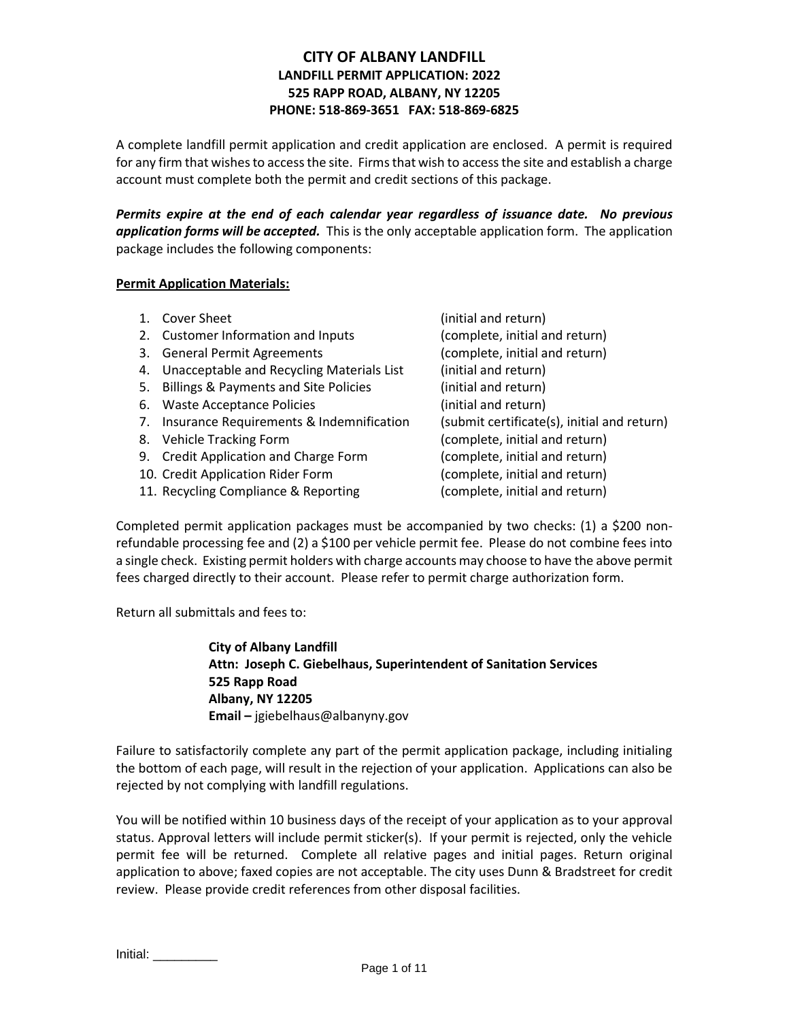# **CITY OF ALBANY LANDFILL LANDFILL PERMIT APPLICATION: 2022 525 RAPP ROAD, ALBANY, NY 12205 PHONE: 518-869-3651 FAX: 518-869-6825**

A complete landfill permit application and credit application are enclosed. A permit is required for any firm that wishes to access the site. Firms that wish to access the site and establish a charge account must complete both the permit and credit sections of this package.

*Permits expire at the end of each calendar year regardless of issuance date. No previous application forms will be accepted.* This is the only acceptable application form. The application package includes the following components:

### **Permit Application Materials:**

- 1. Cover Sheet (initial and return)
- 2. Customer Information and Inputs (complete, initial and return)
- 3. General Permit Agreements (complete, initial and return)
- 4. Unacceptable and Recycling Materials List (initial and return)
- 5. Billings & Payments and Site Policies (initial and return)
- 6. Waste Acceptance Policies (initial and return)
- 7. Insurance Requirements & Indemnification (submit certificate(s), initial and return)
- 
- 9. Credit Application and Charge Form (complete, initial and return)
- 10. Credit Application Rider Form (complete, initial and return)
- 11. Recycling Compliance & Reporting (complete, initial and return)

8. Vehicle Tracking Form (complete, initial and return)

Completed permit application packages must be accompanied by two checks: (1) a \$200 nonrefundable processing fee and (2) a \$100 per vehicle permit fee. Please do not combine fees into a single check. Existing permit holders with charge accounts may choose to have the above permit fees charged directly to their account. Please refer to permit charge authorization form.

Return all submittals and fees to:

**City of Albany Landfill Attn: Joseph C. Giebelhaus, Superintendent of Sanitation Services 525 Rapp Road Albany, NY 12205 Email –** jgiebelhaus@albanyny.gov

Failure to satisfactorily complete any part of the permit application package, including initialing the bottom of each page, will result in the rejection of your application. Applications can also be rejected by not complying with landfill regulations.

You will be notified within 10 business days of the receipt of your application as to your approval status. Approval letters will include permit sticker(s). If your permit is rejected, only the vehicle permit fee will be returned. Complete all relative pages and initial pages. Return original application to above; faxed copies are not acceptable. The city uses Dunn & Bradstreet for credit review. Please provide credit references from other disposal facilities.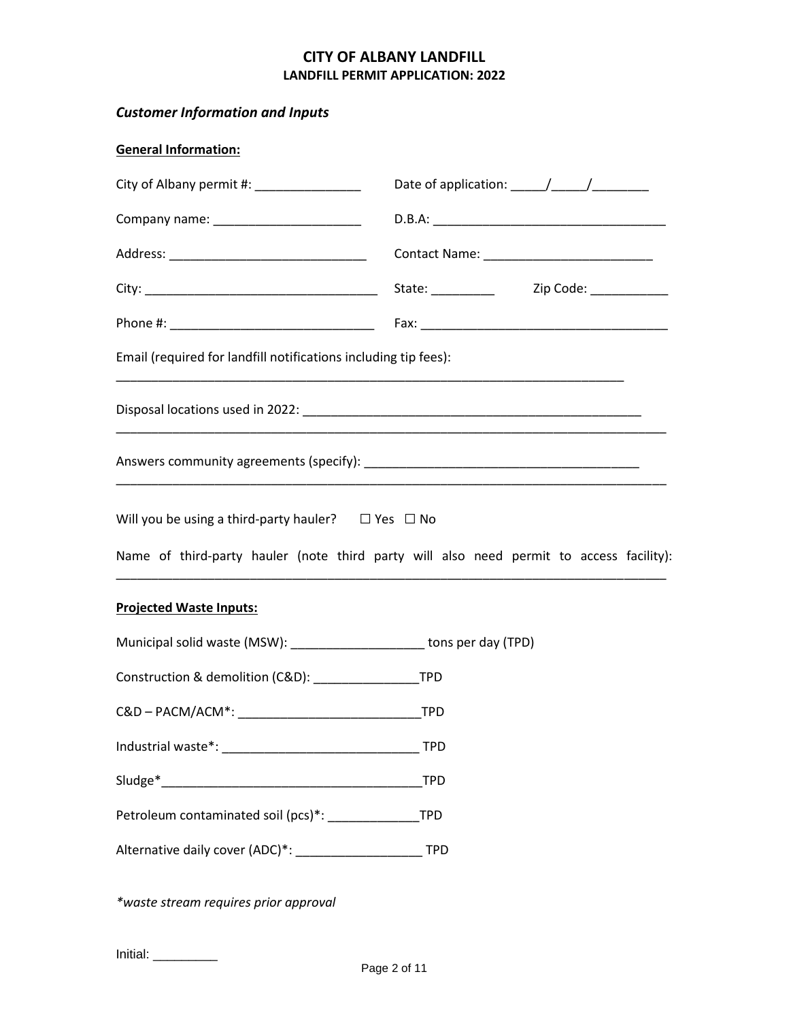# *Customer Information and Inputs*

| <b>General Information:</b>                                                                                                                                                                                                                                                                                                                                                                                                                              |                                                                                         |  |  |  |  |
|----------------------------------------------------------------------------------------------------------------------------------------------------------------------------------------------------------------------------------------------------------------------------------------------------------------------------------------------------------------------------------------------------------------------------------------------------------|-----------------------------------------------------------------------------------------|--|--|--|--|
| City of Albany permit #: ______________<br>Date of application: $\frac{1}{\sqrt{1-\frac{1}{2}}}\frac{1}{\sqrt{1-\frac{1}{2}}}\frac{1}{\sqrt{1-\frac{1}{2}}}\frac{1}{\sqrt{1-\frac{1}{2}}}\frac{1}{\sqrt{1-\frac{1}{2}}}\frac{1}{\sqrt{1-\frac{1}{2}}}\frac{1}{\sqrt{1-\frac{1}{2}}}\frac{1}{\sqrt{1-\frac{1}{2}}}\frac{1}{\sqrt{1-\frac{1}{2}}}\frac{1}{\sqrt{1-\frac{1}{2}}}\frac{1}{\sqrt{1-\frac{1}{2}}}\frac{1}{\sqrt{1-\frac{1}{2}}}\frac{1}{\sqrt$ |                                                                                         |  |  |  |  |
|                                                                                                                                                                                                                                                                                                                                                                                                                                                          |                                                                                         |  |  |  |  |
| Contact Name: _____________________________                                                                                                                                                                                                                                                                                                                                                                                                              |                                                                                         |  |  |  |  |
|                                                                                                                                                                                                                                                                                                                                                                                                                                                          | State: ___________ Zip Code: __________                                                 |  |  |  |  |
|                                                                                                                                                                                                                                                                                                                                                                                                                                                          |                                                                                         |  |  |  |  |
| Email (required for landfill notifications including tip fees):                                                                                                                                                                                                                                                                                                                                                                                          |                                                                                         |  |  |  |  |
|                                                                                                                                                                                                                                                                                                                                                                                                                                                          |                                                                                         |  |  |  |  |
|                                                                                                                                                                                                                                                                                                                                                                                                                                                          |                                                                                         |  |  |  |  |
| Will you be using a third-party hauler? $\Box$ Yes $\Box$ No                                                                                                                                                                                                                                                                                                                                                                                             | Name of third-party hauler (note third party will also need permit to access facility): |  |  |  |  |
| <b>Projected Waste Inputs:</b>                                                                                                                                                                                                                                                                                                                                                                                                                           |                                                                                         |  |  |  |  |
| Municipal solid waste (MSW): ______________________ tons per day (TPD)                                                                                                                                                                                                                                                                                                                                                                                   |                                                                                         |  |  |  |  |
|                                                                                                                                                                                                                                                                                                                                                                                                                                                          |                                                                                         |  |  |  |  |
| C&D-PACM/ACM*:                                                                                                                                                                                                                                                                                                                                                                                                                                           | <b>TPD</b>                                                                              |  |  |  |  |
|                                                                                                                                                                                                                                                                                                                                                                                                                                                          | <b>TPD</b>                                                                              |  |  |  |  |
|                                                                                                                                                                                                                                                                                                                                                                                                                                                          | <b>TPD</b>                                                                              |  |  |  |  |
| Petroleum contaminated soil (pcs)*: ____________                                                                                                                                                                                                                                                                                                                                                                                                         | <b>TPD</b>                                                                              |  |  |  |  |
|                                                                                                                                                                                                                                                                                                                                                                                                                                                          | <b>TPD</b>                                                                              |  |  |  |  |

*\*waste stream requires prior approval*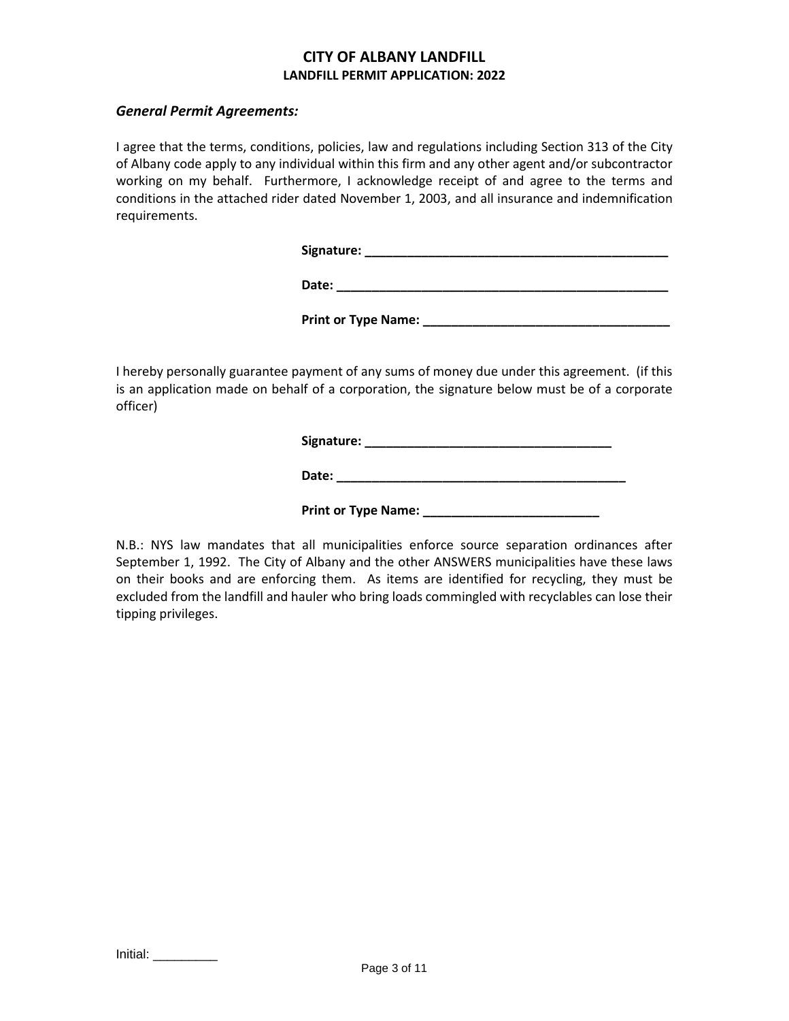## *General Permit Agreements:*

I agree that the terms, conditions, policies, law and regulations including Section 313 of the City of Albany code apply to any individual within this firm and any other agent and/or subcontractor working on my behalf. Furthermore, I acknowledge receipt of and agree to the terms and conditions in the attached rider dated November 1, 2003, and all insurance and indemnification requirements.

**Signature: \_\_\_\_\_\_\_\_\_\_\_\_\_\_\_\_\_\_\_\_\_\_\_\_\_\_\_\_\_\_\_\_\_\_\_\_\_\_\_\_\_\_\_**

**Date: \_\_\_\_\_\_\_\_\_\_\_\_\_\_\_\_\_\_\_\_\_\_\_\_\_\_\_\_\_\_\_\_\_\_\_\_\_\_\_\_\_\_\_\_\_\_\_**

Print or Type Name: **We are all the Second Act of Type Name:**  $\overline{a}$ 

I hereby personally guarantee payment of any sums of money due under this agreement. (if this is an application made on behalf of a corporation, the signature below must be of a corporate officer)

**Signature: \_\_\_\_\_\_\_\_\_\_\_\_\_\_\_\_\_\_\_\_\_\_\_\_\_\_\_\_\_\_\_\_\_\_\_**

**Date: \_\_\_\_\_\_\_\_\_\_\_\_\_\_\_\_\_\_\_\_\_\_\_\_\_\_\_\_\_\_\_\_\_\_\_\_\_\_\_\_\_**

Print or Type Name: **We are all the Series of Type Name:** 

N.B.: NYS law mandates that all municipalities enforce source separation ordinances after September 1, 1992. The City of Albany and the other ANSWERS municipalities have these laws on their books and are enforcing them. As items are identified for recycling, they must be excluded from the landfill and hauler who bring loads commingled with recyclables can lose their tipping privileges.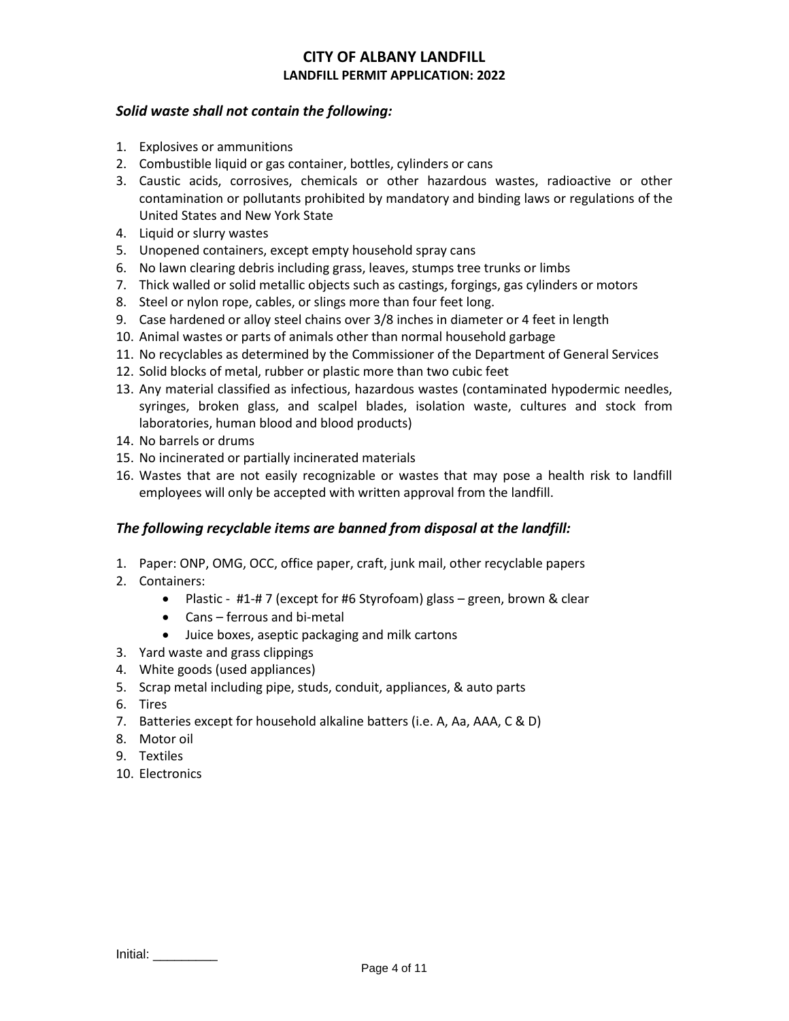## *Solid waste shall not contain the following:*

- 1. Explosives or ammunitions
- 2. Combustible liquid or gas container, bottles, cylinders or cans
- 3. Caustic acids, corrosives, chemicals or other hazardous wastes, radioactive or other contamination or pollutants prohibited by mandatory and binding laws or regulations of the United States and New York State
- 4. Liquid or slurry wastes
- 5. Unopened containers, except empty household spray cans
- 6. No lawn clearing debris including grass, leaves, stumps tree trunks or limbs
- 7. Thick walled or solid metallic objects such as castings, forgings, gas cylinders or motors
- 8. Steel or nylon rope, cables, or slings more than four feet long.
- 9. Case hardened or alloy steel chains over 3/8 inches in diameter or 4 feet in length
- 10. Animal wastes or parts of animals other than normal household garbage
- 11. No recyclables as determined by the Commissioner of the Department of General Services
- 12. Solid blocks of metal, rubber or plastic more than two cubic feet
- 13. Any material classified as infectious, hazardous wastes (contaminated hypodermic needles, syringes, broken glass, and scalpel blades, isolation waste, cultures and stock from laboratories, human blood and blood products)
- 14. No barrels or drums
- 15. No incinerated or partially incinerated materials
- 16. Wastes that are not easily recognizable or wastes that may pose a health risk to landfill employees will only be accepted with written approval from the landfill.

## *The following recyclable items are banned from disposal at the landfill:*

- 1. Paper: ONP, OMG, OCC, office paper, craft, junk mail, other recyclable papers
- 2. Containers:
	- Plastic #1-# 7 (except for #6 Styrofoam) glass green, brown & clear
	- Cans ferrous and bi-metal
	- Juice boxes, aseptic packaging and milk cartons
- 3. Yard waste and grass clippings
- 4. White goods (used appliances)
- 5. Scrap metal including pipe, studs, conduit, appliances, & auto parts
- 6. Tires
- 7. Batteries except for household alkaline batters (i.e. A, Aa, AAA, C & D)
- 8. Motor oil
- 9. Textiles
- 10. Electronics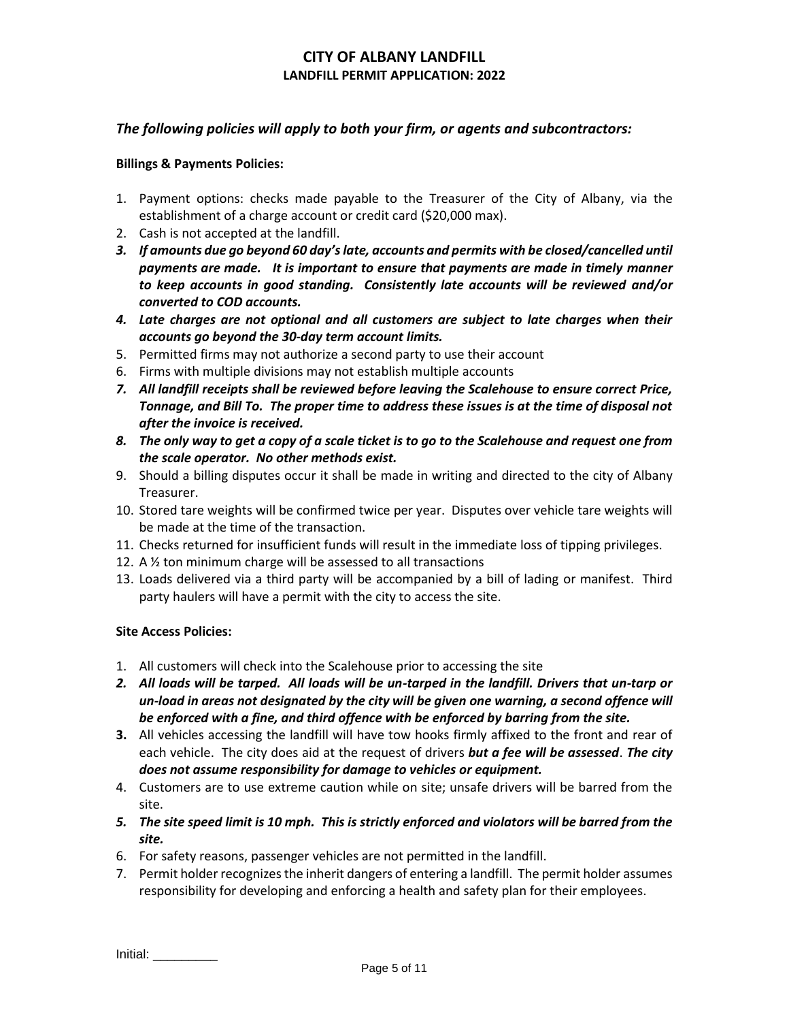## *The following policies will apply to both your firm, or agents and subcontractors:*

#### **Billings & Payments Policies:**

- 1. Payment options: checks made payable to the Treasurer of the City of Albany, via the establishment of a charge account or credit card (\$20,000 max).
- 2. Cash is not accepted at the landfill.
- *3. If amounts due go beyond 60 day'slate, accounts and permits with be closed/cancelled until payments are made. It is important to ensure that payments are made in timely manner to keep accounts in good standing. Consistently late accounts will be reviewed and/or converted to COD accounts.*
- *4. Late charges are not optional and all customers are subject to late charges when their accounts go beyond the 30-day term account limits.*
- 5. Permitted firms may not authorize a second party to use their account
- 6. Firms with multiple divisions may not establish multiple accounts
- *7. All landfill receipts shall be reviewed before leaving the Scalehouse to ensure correct Price, Tonnage, and Bill To. The proper time to address these issues is at the time of disposal not after the invoice is received.*
- *8. The only way to get a copy of a scale ticket is to go to the Scalehouse and request one from the scale operator. No other methods exist.*
- 9. Should a billing disputes occur it shall be made in writing and directed to the city of Albany Treasurer.
- 10. Stored tare weights will be confirmed twice per year. Disputes over vehicle tare weights will be made at the time of the transaction.
- 11. Checks returned for insufficient funds will result in the immediate loss of tipping privileges.
- 12. A ½ ton minimum charge will be assessed to all transactions
- 13. Loads delivered via a third party will be accompanied by a bill of lading or manifest. Third party haulers will have a permit with the city to access the site.

#### **Site Access Policies:**

- 1. All customers will check into the Scalehouse prior to accessing the site
- *2. All loads will be tarped. All loads will be un-tarped in the landfill. Drivers that un-tarp or un-load in areas not designated by the city will be given one warning, a second offence will be enforced with a fine, and third offence with be enforced by barring from the site.*
- **3.** All vehicles accessing the landfill will have tow hooks firmly affixed to the front and rear of each vehicle. The city does aid at the request of drivers *but a fee will be assessed*. *The city does not assume responsibility for damage to vehicles or equipment.*
- 4. Customers are to use extreme caution while on site; unsafe drivers will be barred from the site.
- *5. The site speed limit is 10 mph. This is strictly enforced and violators will be barred from the site.*
- 6. For safety reasons, passenger vehicles are not permitted in the landfill.
- 7. Permit holder recognizes the inherit dangers of entering a landfill. The permit holder assumes responsibility for developing and enforcing a health and safety plan for their employees.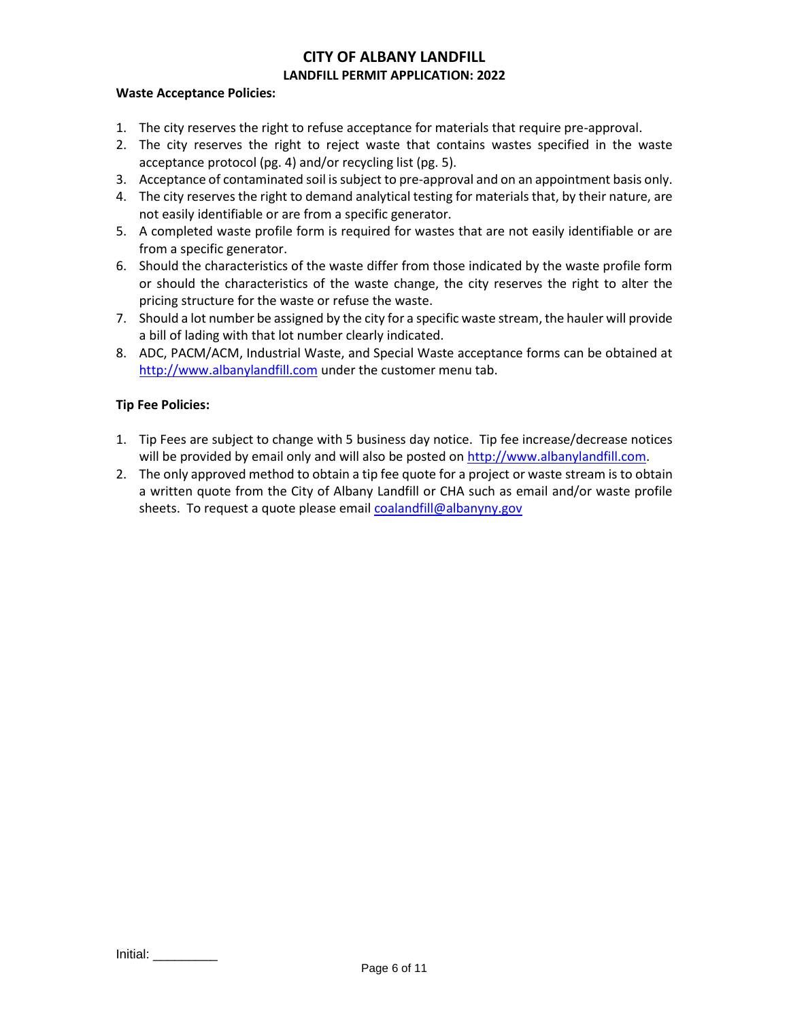### **Waste Acceptance Policies:**

- 1. The city reserves the right to refuse acceptance for materials that require pre-approval.
- 2. The city reserves the right to reject waste that contains wastes specified in the waste acceptance protocol (pg. 4) and/or recycling list (pg. 5).
- 3. Acceptance of contaminated soil is subject to pre-approval and on an appointment basis only.
- 4. The city reserves the right to demand analytical testing for materials that, by their nature, are not easily identifiable or are from a specific generator.
- 5. A completed waste profile form is required for wastes that are not easily identifiable or are from a specific generator.
- 6. Should the characteristics of the waste differ from those indicated by the waste profile form or should the characteristics of the waste change, the city reserves the right to alter the pricing structure for the waste or refuse the waste.
- 7. Should a lot number be assigned by the city for a specific waste stream, the hauler will provide a bill of lading with that lot number clearly indicated.
- 8. ADC, PACM/ACM, Industrial Waste, and Special Waste acceptance forms can be obtained at [http://www.albanylandfill.com](http://www.albanylandfill.com/) under the customer menu tab.

#### **Tip Fee Policies:**

- 1. Tip Fees are subject to change with 5 business day notice. Tip fee increase/decrease notices will be provided by email only and will also be posted o[n http://www.albanylandfill.com.](http://www.albanylandfill.com/)
- 2. The only approved method to obtain a tip fee quote for a project or waste stream is to obtain a written quote from the City of Albany Landfill or CHA such as email and/or waste profile sheets. To request a quote please emai[l coalandfill@albanyny.gov](mailto:coalandfill@albanyny.gov)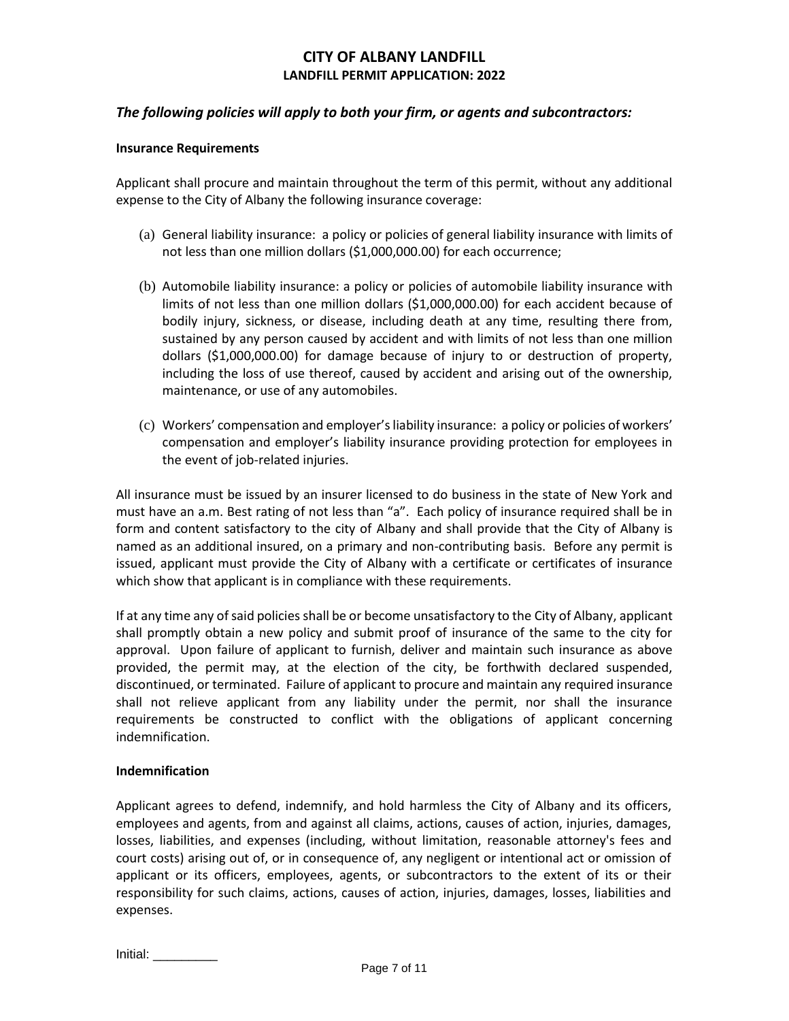## *The following policies will apply to both your firm, or agents and subcontractors:*

#### **Insurance Requirements**

Applicant shall procure and maintain throughout the term of this permit, without any additional expense to the City of Albany the following insurance coverage:

- (a) General liability insurance: a policy or policies of general liability insurance with limits of not less than one million dollars (\$1,000,000.00) for each occurrence;
- (b) Automobile liability insurance: a policy or policies of automobile liability insurance with limits of not less than one million dollars (\$1,000,000.00) for each accident because of bodily injury, sickness, or disease, including death at any time, resulting there from, sustained by any person caused by accident and with limits of not less than one million dollars (\$1,000,000.00) for damage because of injury to or destruction of property, including the loss of use thereof, caused by accident and arising out of the ownership, maintenance, or use of any automobiles.
- (c) Workers' compensation and employer's liability insurance: a policy or policies of workers' compensation and employer's liability insurance providing protection for employees in the event of job-related injuries.

All insurance must be issued by an insurer licensed to do business in the state of New York and must have an a.m. Best rating of not less than "a". Each policy of insurance required shall be in form and content satisfactory to the city of Albany and shall provide that the City of Albany is named as an additional insured, on a primary and non-contributing basis. Before any permit is issued, applicant must provide the City of Albany with a certificate or certificates of insurance which show that applicant is in compliance with these requirements.

If at any time any of said policies shall be or become unsatisfactory to the City of Albany, applicant shall promptly obtain a new policy and submit proof of insurance of the same to the city for approval. Upon failure of applicant to furnish, deliver and maintain such insurance as above provided, the permit may, at the election of the city, be forthwith declared suspended, discontinued, or terminated. Failure of applicant to procure and maintain any required insurance shall not relieve applicant from any liability under the permit, nor shall the insurance requirements be constructed to conflict with the obligations of applicant concerning indemnification.

#### **Indemnification**

Applicant agrees to defend, indemnify, and hold harmless the City of Albany and its officers, employees and agents, from and against all claims, actions, causes of action, injuries, damages, losses, liabilities, and expenses (including, without limitation, reasonable attorney's fees and court costs) arising out of, or in consequence of, any negligent or intentional act or omission of applicant or its officers, employees, agents, or subcontractors to the extent of its or their responsibility for such claims, actions, causes of action, injuries, damages, losses, liabilities and expenses.

| Initial: |  |
|----------|--|
|          |  |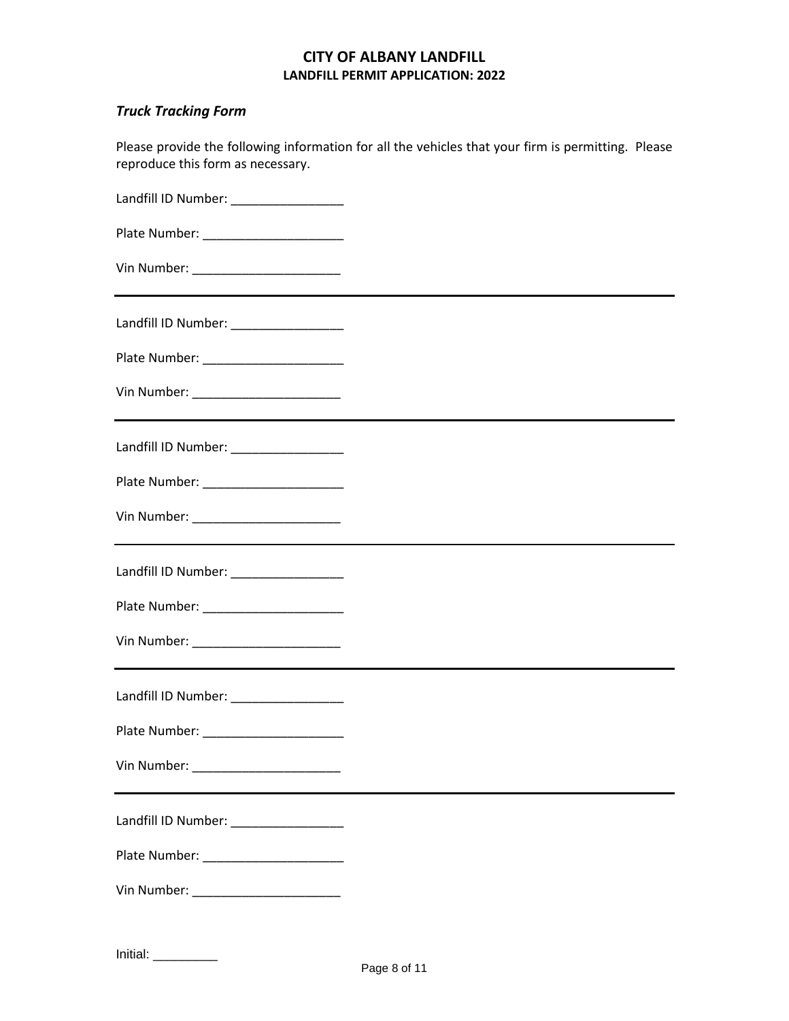Please provide the following information for all the vehicles that your firm is permitting. Please

# *Truck Tracking Form*

| reproduce this form as necessary.                                                      |                                                                                                                       |
|----------------------------------------------------------------------------------------|-----------------------------------------------------------------------------------------------------------------------|
|                                                                                        |                                                                                                                       |
| Plate Number: _______________________                                                  |                                                                                                                       |
|                                                                                        |                                                                                                                       |
| Landfill ID Number: __________________                                                 |                                                                                                                       |
| Plate Number: ______________________                                                   |                                                                                                                       |
| Vin Number: ____________________________                                               | <u> 1990 - Johann Johann Stoff, deutscher Stoffen und der Stoffen und der Stoffen und der Stoffen und der Stoffen</u> |
| Landfill ID Number: ___________________                                                |                                                                                                                       |
|                                                                                        |                                                                                                                       |
| Vin Number: _________________________<br><u> 2000 - Andrea Andrew Maria (h. 1982).</u> |                                                                                                                       |
| Landfill ID Number: __________________                                                 |                                                                                                                       |
|                                                                                        |                                                                                                                       |
| Vin Number: ___________________________                                                |                                                                                                                       |
| Landfill ID Number: __________________                                                 |                                                                                                                       |
| Plate Number:                                                                          |                                                                                                                       |
|                                                                                        |                                                                                                                       |
| Landfill ID Number: _________________                                                  |                                                                                                                       |
|                                                                                        |                                                                                                                       |
| Vin Number: ________________________                                                   |                                                                                                                       |
|                                                                                        |                                                                                                                       |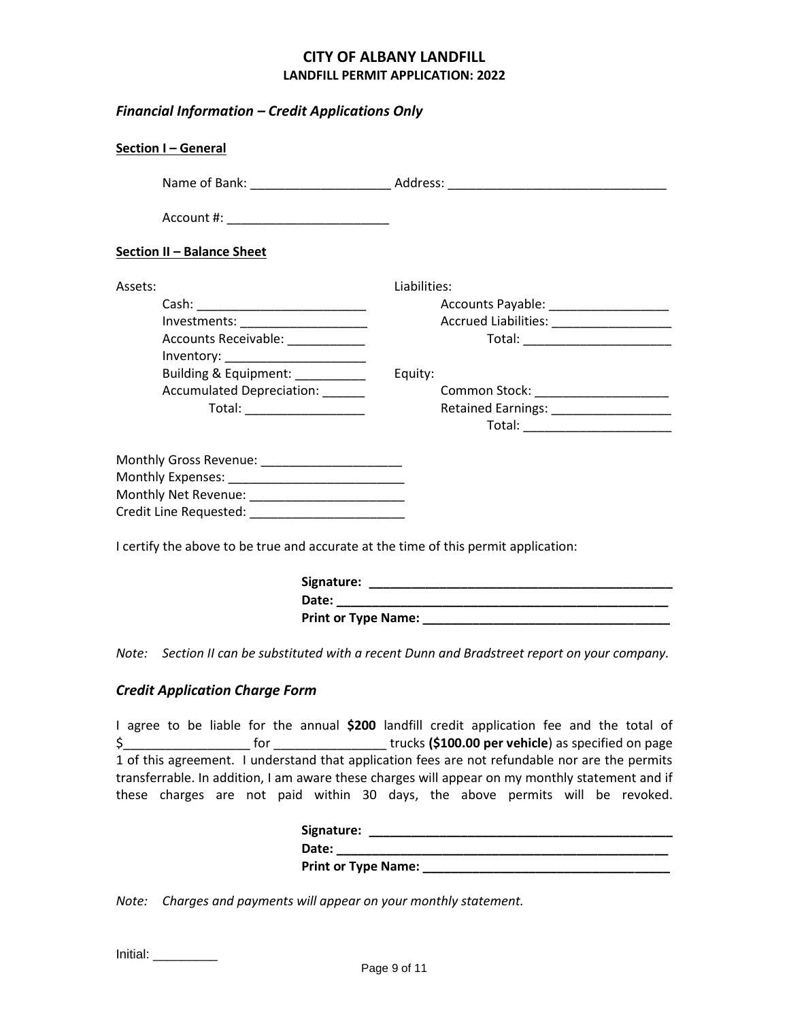*Financial Information – Credit Applications Only*

| Section I-General                                                                   |                                         |  |  |  |  |
|-------------------------------------------------------------------------------------|-----------------------------------------|--|--|--|--|
|                                                                                     |                                         |  |  |  |  |
| Account #: _______________________________                                          |                                         |  |  |  |  |
| <b>Section II - Balance Sheet</b>                                                   |                                         |  |  |  |  |
| Assets:                                                                             | Liabilities:                            |  |  |  |  |
|                                                                                     | Accounts Payable: ____________________  |  |  |  |  |
| Investments: ______________________                                                 |                                         |  |  |  |  |
| Accounts Receivable: ____________                                                   |                                         |  |  |  |  |
|                                                                                     |                                         |  |  |  |  |
| Building & Equipment:                                                               | Equity:                                 |  |  |  |  |
| Accumulated Depreciation: ______                                                    | Common Stock: _______________________   |  |  |  |  |
| Total: __________________                                                           | Retained Earnings: ____________________ |  |  |  |  |
|                                                                                     |                                         |  |  |  |  |
| Monthly Gross Revenue: ______________________                                       |                                         |  |  |  |  |
|                                                                                     |                                         |  |  |  |  |
|                                                                                     |                                         |  |  |  |  |
|                                                                                     |                                         |  |  |  |  |
| I certify the above to be true and accurate at the time of this permit application: |                                         |  |  |  |  |

| Signature:          |  |
|---------------------|--|
| Date:               |  |
| Print or Type Name: |  |

*Note: Section II can be substituted with a recent Dunn and Bradstreet report on your company.*

# *Credit Application Charge Form*

|                                                                                                 |  |  |  |  |     |  | I agree to be liable for the annual \$200 landfill credit application fee and the total of     |  |                                                    |  |  |  |  |
|-------------------------------------------------------------------------------------------------|--|--|--|--|-----|--|------------------------------------------------------------------------------------------------|--|----------------------------------------------------|--|--|--|--|
|                                                                                                 |  |  |  |  | tor |  |                                                                                                |  | trucks (\$100.00 per vehicle) as specified on page |  |  |  |  |
|                                                                                                 |  |  |  |  |     |  | 1 of this agreement. I understand that application fees are not refundable nor are the permits |  |                                                    |  |  |  |  |
| transferrable. In addition, I am aware these charges will appear on my monthly statement and if |  |  |  |  |     |  |                                                                                                |  |                                                    |  |  |  |  |
|                                                                                                 |  |  |  |  |     |  | these charges are not paid within 30 days, the above permits will be revoked.                  |  |                                                    |  |  |  |  |

| Signature:                 |  |
|----------------------------|--|
| Date:                      |  |
| <b>Print or Type Name:</b> |  |

*Note: Charges and payments will appear on your monthly statement.*

| Initial: |  |  |
|----------|--|--|
|          |  |  |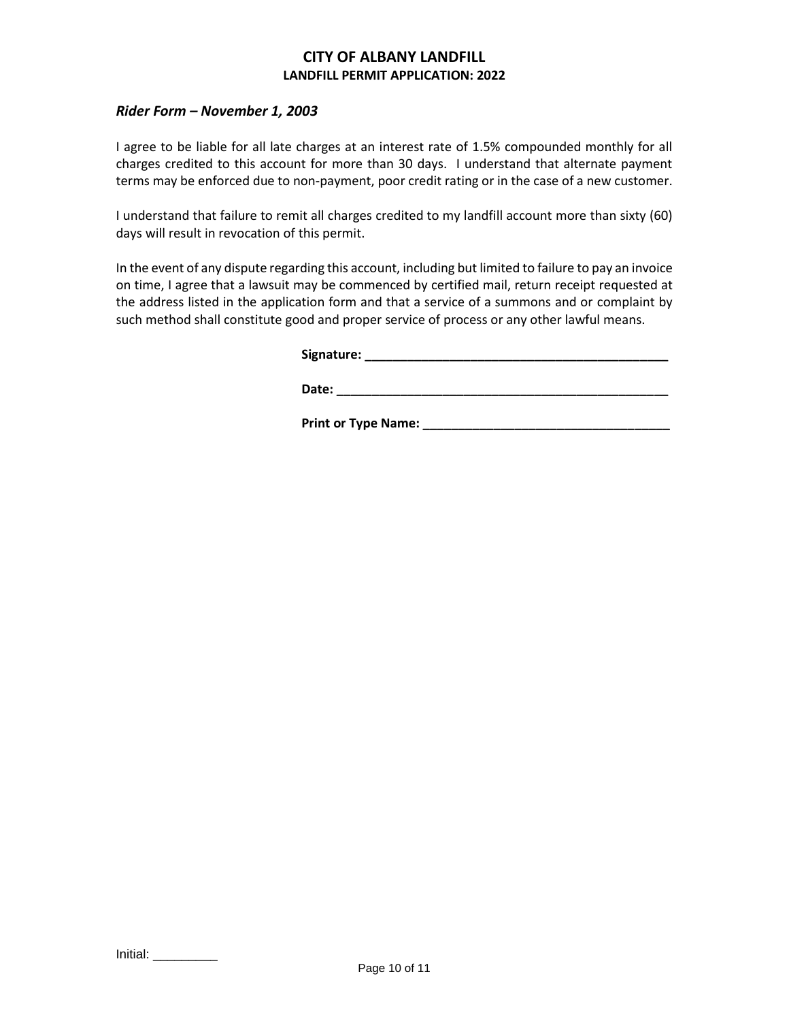### *Rider Form – November 1, 2003*

I agree to be liable for all late charges at an interest rate of 1.5% compounded monthly for all charges credited to this account for more than 30 days. I understand that alternate payment terms may be enforced due to non-payment, poor credit rating or in the case of a new customer.

I understand that failure to remit all charges credited to my landfill account more than sixty (60) days will result in revocation of this permit.

In the event of any dispute regarding this account, including but limited to failure to pay an invoice on time, I agree that a lawsuit may be commenced by certified mail, return receipt requested at the address listed in the application form and that a service of a summons and or complaint by such method shall constitute good and proper service of process or any other lawful means.

| Signature: |
|------------|
|------------|

**Date: \_\_\_\_\_\_\_\_\_\_\_\_\_\_\_\_\_\_\_\_\_\_\_\_\_\_\_\_\_\_\_\_\_\_\_\_\_\_\_\_\_\_\_\_\_\_\_**

**Print or Type Name: \_\_\_\_\_\_\_\_\_\_\_\_\_\_\_\_\_\_\_\_\_\_\_\_\_\_\_\_\_\_\_\_\_\_\_**